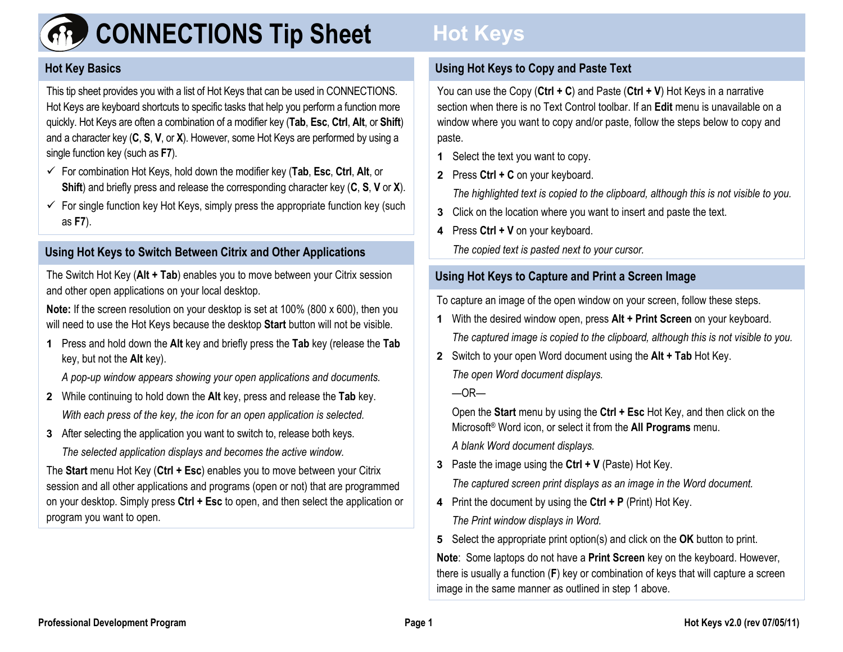

# **CONNECTIONS Tip Sheet**

# **Hot Key Basics**

This tip sheet provides you with a list of Hot Keys that can be used in CONNECTIONS. Hot Keys are keyboard shortcuts to specific tasks that help you perform a function more quickly. Hot Keys are often a combination of a modifier key (**Tab**, **Esc**, **Ctrl**, **Alt**, or **Shift**) and a character key ( **C**, **S**, **V**, or **X**). However, some Hot Keys are performed by using a single function key (such as **F7**).

- For combination Hot Keys, hold down the modifier key (**Tab**, **Esc**, **Ctrl**, **Alt**, or **Shift**) and briefly press and release the corresponding character key ( **C**, **S**, **V** or **X**).
- $\checkmark$  For single function key Hot Keys, simply press the appropriate function key (such as **F7**).

#### **Using Hot Keys to Switch Between Citrix and Other Applications**

The Switch Hot Key (**Alt + Tab**) enables you to move between your Citrix session and other open applications on your local desktop.

**Note:** If the screen resolution on your desktop is set at 100% (800 x 600), then you will need to use the Hot Keys because the desktop **Start** button will not be visible.

**1** Press and hold down the **Alt** key and briefly press the **Tab** key (release the **Tab** key, but not the **Alt** key).

*A pop-up window appears showing your open applications and documents.*

- **2** While continuing to hold down the **Alt** key, press and release the **Tab** key. *With each press of the key, the icon for an open application is selected.*
- **3** After selecting the application you want to switch to, release both keys. *The selected application displays and becomes the active window.*

The **Start** menu Hot Key (**Ctrl + Esc**) enables you to move between your Citrix session and all other applications and programs (open or not) that are programmed on your desktop. Simply press **Ctrl + Esc** to open, and then select the application or program you want to open.

# **Hot Keys**

# **Using Hot Keys to Copy and Paste Text**

You can use the Copy (**Ctrl + C**) and Paste (**Ctrl + V**) Hot Keys in a narrative section when there is no Text Control toolbar. If an **Edit** menu is unavailable on a window where you want to copy and/or paste, follow the steps below to copy and paste.

- **1** Select the text you want to copy.
- **2** Press **Ctrl + C** on your keyboard.

*The highlighted text is copied to the clipboard, although this is not visible to you.* 

- **3** Click on the location where you want to insert and paste the text.
- **4** Press **Ctrl + V** on your keyboard.

*The co pied text is pasted next to your cursor.*

# **Using Hot Keys to Capture and Print a Screen Image**

To capture an image of the open window on your screen, follow these steps.

- **1** With the desired window open, press **Alt + Print Screen** on your keyboard. *The captured image is copied to the clipboard, although this is not visible to you.*
- **2** Switch to your open Word document using the **Alt + Tab** Hot Key. *The open Word document displays.*

 $-OR-$ 

Open the **Start** menu by using the **Ctrl + Esc** Hot Key, and then click on the Microsoft® Word icon, or select it from the **All Programs** menu.

*A blank Word document displays.* 

**3** Paste the image using the **Ctrl + V** (Paste) Hot Key.

*The captured screen print displays as an image in the Word document.* 

- **4** Print the document by using the **Ctrl + P** (Print) Hot Key. *The Print window displays in Word.*
- **5** Select the appropriate print option(s) and click on the **OK** button to print.

**Note**: Some laptops do not have a **Print Screen** key on the keyboard. However, there is usually a function (**F**) key or combination of keys that will capture a screen image in the same manner as outlined in step 1 above.